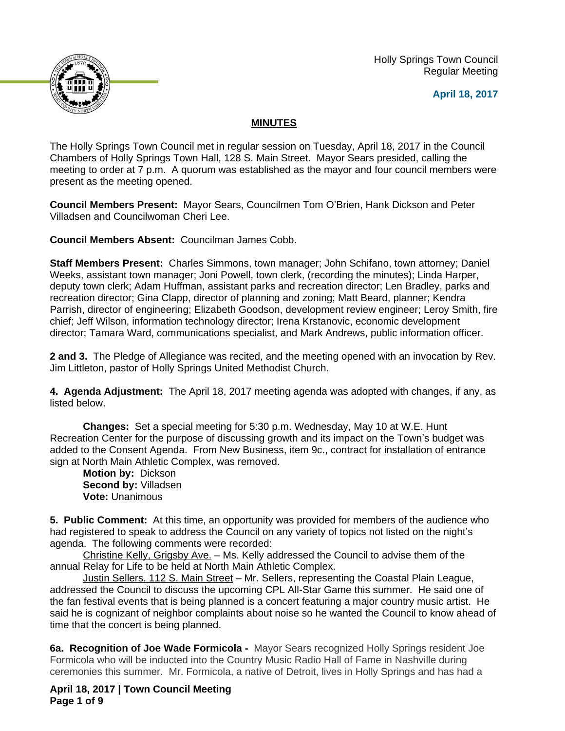Holly Springs Town Council Regular Meeting





## **MINUTES**

The Holly Springs Town Council met in regular session on Tuesday, April 18, 2017 in the Council Chambers of Holly Springs Town Hall, 128 S. Main Street. Mayor Sears presided, calling the meeting to order at 7 p.m. A quorum was established as the mayor and four council members were present as the meeting opened.

**Council Members Present:** Mayor Sears, Councilmen Tom O'Brien, Hank Dickson and Peter Villadsen and Councilwoman Cheri Lee.

**Council Members Absent:** Councilman James Cobb.

**Staff Members Present:** Charles Simmons, town manager; John Schifano, town attorney; Daniel Weeks, assistant town manager; Joni Powell, town clerk, (recording the minutes); Linda Harper, deputy town clerk; Adam Huffman, assistant parks and recreation director; Len Bradley, parks and recreation director; Gina Clapp, director of planning and zoning; Matt Beard, planner; Kendra Parrish, director of engineering; Elizabeth Goodson, development review engineer; Leroy Smith, fire chief; Jeff Wilson, information technology director; Irena Krstanovic, economic development director; Tamara Ward, communications specialist, and Mark Andrews, public information officer.

**2 and 3.** The Pledge of Allegiance was recited, and the meeting opened with an invocation by Rev. Jim Littleton, pastor of Holly Springs United Methodist Church.

**4. Agenda Adjustment:** The April 18, 2017 meeting agenda was adopted with changes, if any, as listed below.

**Changes:** Set a special meeting for 5:30 p.m. Wednesday, May 10 at W.E. Hunt Recreation Center for the purpose of discussing growth and its impact on the Town's budget was added to the Consent Agenda. From New Business, item 9c., contract for installation of entrance sign at North Main Athletic Complex, was removed.

**Motion by:** Dickson **Second by:** Villadsen **Vote:** Unanimous

**5. Public Comment:** At this time, an opportunity was provided for members of the audience who had registered to speak to address the Council on any variety of topics not listed on the night's agenda. The following comments were recorded:

Christine Kelly, Grigsby Ave. – Ms. Kelly addressed the Council to advise them of the annual Relay for Life to be held at North Main Athletic Complex.

Justin Sellers, 112 S. Main Street - Mr. Sellers, representing the Coastal Plain League, addressed the Council to discuss the upcoming CPL All-Star Game this summer. He said one of the fan festival events that is being planned is a concert featuring a major country music artist. He said he is cognizant of neighbor complaints about noise so he wanted the Council to know ahead of time that the concert is being planned.

**6a. Recognition of Joe Wade Formicola -** Mayor Sears recognized Holly Springs resident Joe Formicola who will be inducted into the Country Music Radio Hall of Fame in Nashville during ceremonies this summer. Mr. Formicola, a native of Detroit, lives in Holly Springs and has had a

**April 18, 2017 | Town Council Meeting Page 1 of 9**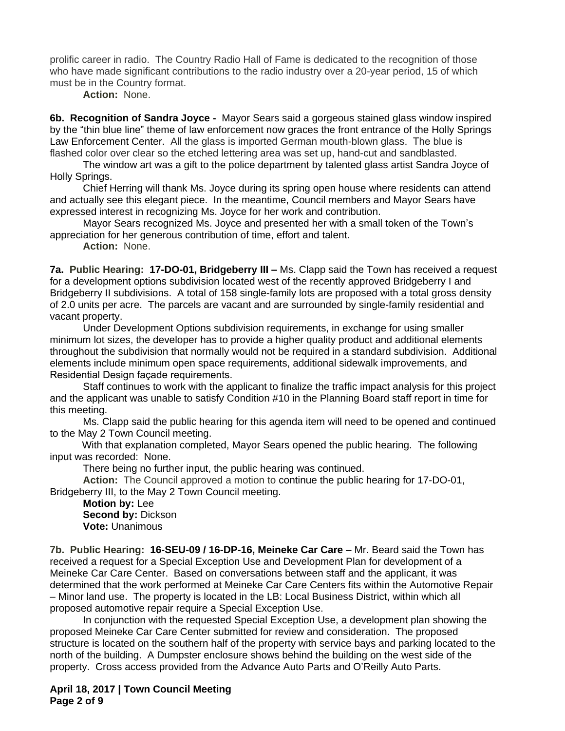prolific career in radio. The Country Radio Hall of Fame is dedicated to the recognition of those who have made significant contributions to the radio industry over a 20-year period, 15 of which must be in the Country format.

**Action:** None.

**6b. Recognition of Sandra Joyce -** Mayor Sears said a gorgeous stained glass window inspired by the "thin blue line" theme of law enforcement now graces the front entrance of the Holly Springs Law Enforcement Center. All the glass is imported German mouth-blown glass. The blue is flashed color over clear so the etched lettering area was set up, hand-cut and sandblasted.

The window art was a gift to the police department by talented glass artist Sandra Joyce of Holly Springs.

Chief Herring will thank Ms. Joyce during its spring open house where residents can attend and actually see this elegant piece. In the meantime, Council members and Mayor Sears have expressed interest in recognizing Ms. Joyce for her work and contribution.

Mayor Sears recognized Ms. Joyce and presented her with a small token of the Town's appreciation for her generous contribution of time, effort and talent.

**Action:** None.

**7a. Public Hearing: 17-DO-01, Bridgeberry III –** Ms. Clapp said the Town has received a request for a development options subdivision located west of the recently approved Bridgeberry I and Bridgeberry II subdivisions. A total of 158 single-family lots are proposed with a total gross density of 2.0 units per acre. The parcels are vacant and are surrounded by single-family residential and vacant property.

Under Development Options subdivision requirements, in exchange for using smaller minimum lot sizes, the developer has to provide a higher quality product and additional elements throughout the subdivision that normally would not be required in a standard subdivision. Additional elements include minimum open space requirements, additional sidewalk improvements, and Residential Design façade requirements.

Staff continues to work with the applicant to finalize the traffic impact analysis for this project and the applicant was unable to satisfy Condition #10 in the Planning Board staff report in time for this meeting.

Ms. Clapp said the public hearing for this agenda item will need to be opened and continued to the May 2 Town Council meeting.

With that explanation completed, Mayor Sears opened the public hearing. The following input was recorded: None.

There being no further input, the public hearing was continued.

**Action:** The Council approved a motion to continue the public hearing for 17-DO-01, Bridgeberry III, to the May 2 Town Council meeting.

**Motion by:** Lee **Second by:** Dickson **Vote:** Unanimous

**7b. Public Hearing: 16-SEU-09 / 16-DP-16, Meineke Car Care** – Mr. Beard said the Town has received a request for a Special Exception Use and Development Plan for development of a Meineke Car Care Center. Based on conversations between staff and the applicant, it was determined that the work performed at Meineke Car Care Centers fits within the Automotive Repair – Minor land use. The property is located in the LB: Local Business District, within which all proposed automotive repair require a Special Exception Use.

In conjunction with the requested Special Exception Use, a development plan showing the proposed Meineke Car Care Center submitted for review and consideration. The proposed structure is located on the southern half of the property with service bays and parking located to the north of the building. A Dumpster enclosure shows behind the building on the west side of the property. Cross access provided from the Advance Auto Parts and O'Reilly Auto Parts.

**April 18, 2017 | Town Council Meeting Page 2 of 9**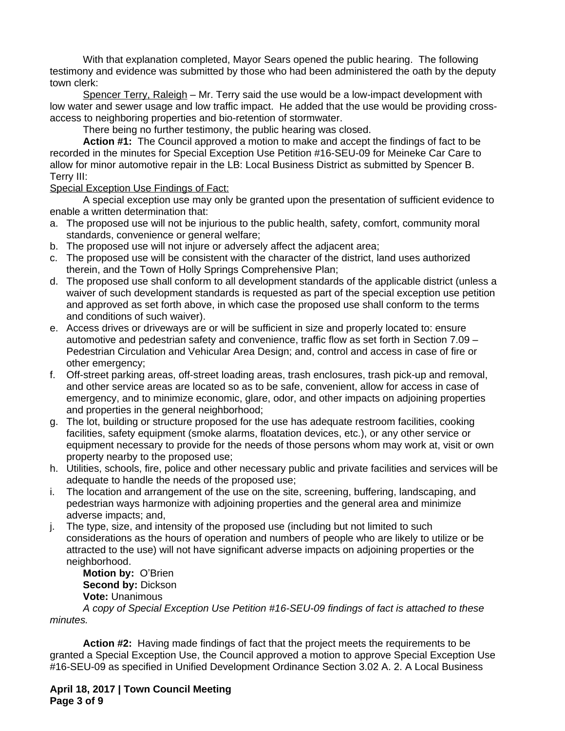With that explanation completed, Mayor Sears opened the public hearing. The following testimony and evidence was submitted by those who had been administered the oath by the deputy town clerk:

Spencer Terry, Raleigh – Mr. Terry said the use would be a low-impact development with low water and sewer usage and low traffic impact. He added that the use would be providing crossaccess to neighboring properties and bio-retention of stormwater.

There being no further testimony, the public hearing was closed.

**Action #1:** The Council approved a motion to make and accept the findings of fact to be recorded in the minutes for Special Exception Use Petition #16-SEU-09 for Meineke Car Care to allow for minor automotive repair in the LB: Local Business District as submitted by Spencer B. Terry III:

#### Special Exception Use Findings of Fact:

A special exception use may only be granted upon the presentation of sufficient evidence to enable a written determination that:

- a. The proposed use will not be injurious to the public health, safety, comfort, community moral standards, convenience or general welfare;
- b. The proposed use will not injure or adversely affect the adjacent area;
- c. The proposed use will be consistent with the character of the district, land uses authorized therein, and the Town of Holly Springs Comprehensive Plan;
- d. The proposed use shall conform to all development standards of the applicable district (unless a waiver of such development standards is requested as part of the special exception use petition and approved as set forth above, in which case the proposed use shall conform to the terms and conditions of such waiver).
- e. Access drives or driveways are or will be sufficient in size and properly located to: ensure automotive and pedestrian safety and convenience, traffic flow as set forth in Section 7.09 – Pedestrian Circulation and Vehicular Area Design; and, control and access in case of fire or other emergency;
- f. Off-street parking areas, off-street loading areas, trash enclosures, trash pick-up and removal, and other service areas are located so as to be safe, convenient, allow for access in case of emergency, and to minimize economic, glare, odor, and other impacts on adjoining properties and properties in the general neighborhood;
- g. The lot, building or structure proposed for the use has adequate restroom facilities, cooking facilities, safety equipment (smoke alarms, floatation devices, etc.), or any other service or equipment necessary to provide for the needs of those persons whom may work at, visit or own property nearby to the proposed use;
- h. Utilities, schools, fire, police and other necessary public and private facilities and services will be adequate to handle the needs of the proposed use;
- i. The location and arrangement of the use on the site, screening, buffering, landscaping, and pedestrian ways harmonize with adjoining properties and the general area and minimize adverse impacts; and,
- j. The type, size, and intensity of the proposed use (including but not limited to such considerations as the hours of operation and numbers of people who are likely to utilize or be attracted to the use) will not have significant adverse impacts on adjoining properties or the neighborhood.

**Motion by:** O'Brien **Second by:** Dickson **Vote:** Unanimous

*A copy of Special Exception Use Petition #16-SEU-09 findings of fact is attached to these minutes.*

**Action #2:** Having made findings of fact that the project meets the requirements to be granted a Special Exception Use, the Council approved a motion to approve Special Exception Use #16-SEU-09 as specified in Unified Development Ordinance Section 3.02 A. 2. A Local Business

**April 18, 2017 | Town Council Meeting Page 3 of 9**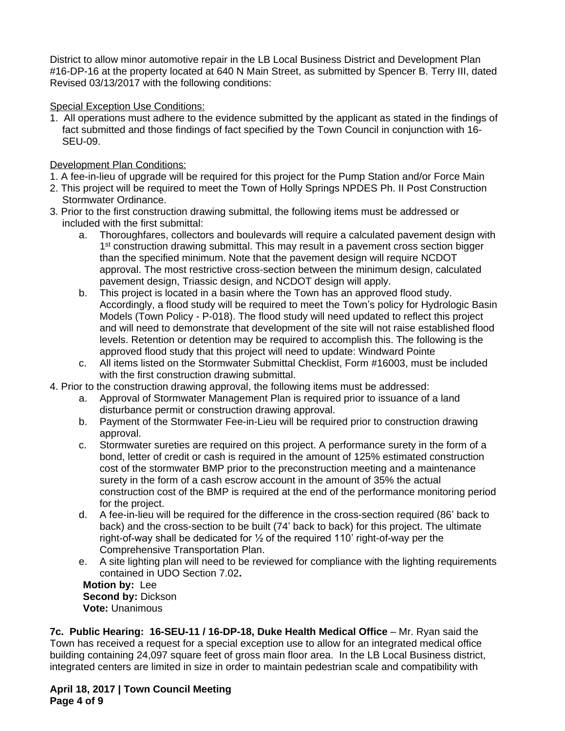District to allow minor automotive repair in the LB Local Business District and Development Plan #16-DP-16 at the property located at 640 N Main Street, as submitted by Spencer B. Terry III, dated Revised 03/13/2017 with the following conditions:

## Special Exception Use Conditions:

1. All operations must adhere to the evidence submitted by the applicant as stated in the findings of fact submitted and those findings of fact specified by the Town Council in conjunction with 16- SEU-09.

## Development Plan Conditions:

- 1. A fee-in-lieu of upgrade will be required for this project for the Pump Station and/or Force Main
- 2. This project will be required to meet the Town of Holly Springs NPDES Ph. II Post Construction Stormwater Ordinance.
- 3. Prior to the first construction drawing submittal, the following items must be addressed or included with the first submittal:
	- a. Thoroughfares, collectors and boulevards will require a calculated pavement design with 1<sup>st</sup> construction drawing submittal. This may result in a pavement cross section bigger than the specified minimum. Note that the pavement design will require NCDOT approval. The most restrictive cross-section between the minimum design, calculated pavement design, Triassic design, and NCDOT design will apply.
	- b. This project is located in a basin where the Town has an approved flood study. Accordingly, a flood study will be required to meet the Town's policy for Hydrologic Basin Models (Town Policy - P-018). The flood study will need updated to reflect this project and will need to demonstrate that development of the site will not raise established flood levels. Retention or detention may be required to accomplish this. The following is the approved flood study that this project will need to update: Windward Pointe
	- c. All items listed on the Stormwater Submittal Checklist, Form #16003, must be included with the first construction drawing submittal.
- 4. Prior to the construction drawing approval, the following items must be addressed:
	- a. Approval of Stormwater Management Plan is required prior to issuance of a land disturbance permit or construction drawing approval.
	- b. Payment of the Stormwater Fee-in-Lieu will be required prior to construction drawing approval.
	- c. Stormwater sureties are required on this project. A performance surety in the form of a bond, letter of credit or cash is required in the amount of 125% estimated construction cost of the stormwater BMP prior to the preconstruction meeting and a maintenance surety in the form of a cash escrow account in the amount of 35% the actual construction cost of the BMP is required at the end of the performance monitoring period for the project.
	- d. A fee-in-lieu will be required for the difference in the cross-section required (86' back to back) and the cross-section to be built (74' back to back) for this project. The ultimate right-of-way shall be dedicated for ½ of the required 110' right-of-way per the Comprehensive Transportation Plan.
	- e. A site lighting plan will need to be reviewed for compliance with the lighting requirements contained in UDO Section 7.02**.**

**Motion by:** Lee **Second by:** Dickson **Vote:** Unanimous

**7c. Public Hearing: 16-SEU-11 / 16-DP-18, Duke Health Medical Office** – Mr. Ryan said the Town has received a request for a special exception use to allow for an integrated medical office building containing 24,097 square feet of gross main floor area. In the LB Local Business district, integrated centers are limited in size in order to maintain pedestrian scale and compatibility with

**April 18, 2017 | Town Council Meeting Page 4 of 9**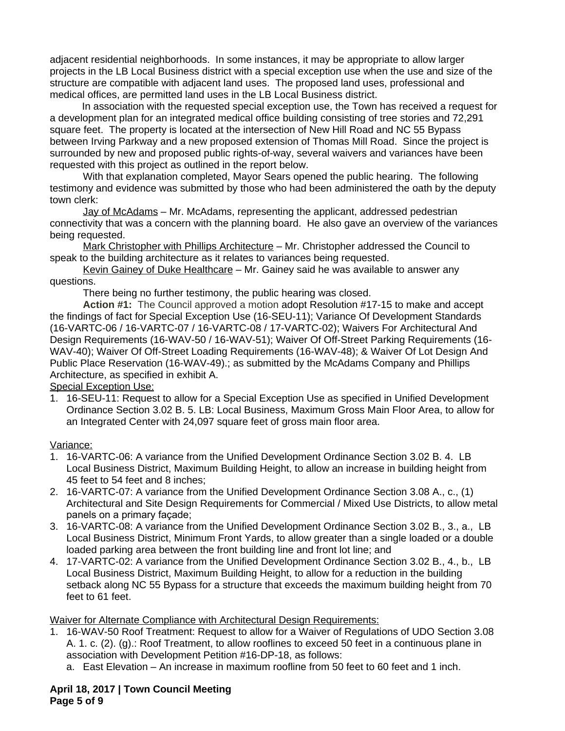adjacent residential neighborhoods. In some instances, it may be appropriate to allow larger projects in the LB Local Business district with a special exception use when the use and size of the structure are compatible with adjacent land uses. The proposed land uses, professional and medical offices, are permitted land uses in the LB Local Business district.

In association with the requested special exception use, the Town has received a request for a development plan for an integrated medical office building consisting of tree stories and 72,291 square feet. The property is located at the intersection of New Hill Road and NC 55 Bypass between Irving Parkway and a new proposed extension of Thomas Mill Road. Since the project is surrounded by new and proposed public rights-of-way, several waivers and variances have been requested with this project as outlined in the report below.

With that explanation completed, Mayor Sears opened the public hearing. The following testimony and evidence was submitted by those who had been administered the oath by the deputy town clerk:

Jay of McAdams – Mr. McAdams, representing the applicant, addressed pedestrian connectivity that was a concern with the planning board. He also gave an overview of the variances being requested.

Mark Christopher with Phillips Architecture – Mr. Christopher addressed the Council to speak to the building architecture as it relates to variances being requested.

Kevin Gainey of Duke Healthcare – Mr. Gainey said he was available to answer any questions.

There being no further testimony, the public hearing was closed.

**Action #1:** The Council approved a motion adopt Resolution #17-15 to make and accept the findings of fact for Special Exception Use (16-SEU-11); Variance Of Development Standards (16-VARTC-06 / 16-VARTC-07 / 16-VARTC-08 / 17-VARTC-02); Waivers For Architectural And Design Requirements (16-WAV-50 / 16-WAV-51); Waiver Of Off-Street Parking Requirements (16- WAV-40); Waiver Of Off-Street Loading Requirements (16-WAV-48); & Waiver Of Lot Design And Public Place Reservation (16-WAV-49).; as submitted by the McAdams Company and Phillips Architecture, as specified in exhibit A.

Special Exception Use:

1. 16-SEU-11: Request to allow for a Special Exception Use as specified in Unified Development Ordinance Section 3.02 B. 5. LB: Local Business, Maximum Gross Main Floor Area, to allow for an Integrated Center with 24,097 square feet of gross main floor area.

### Variance:

- 1. 16-VARTC-06: A variance from the Unified Development Ordinance Section 3.02 B. 4. LB Local Business District, Maximum Building Height, to allow an increase in building height from 45 feet to 54 feet and 8 inches;
- 2. 16-VARTC-07: A variance from the Unified Development Ordinance Section 3.08 A., c., (1) Architectural and Site Design Requirements for Commercial / Mixed Use Districts, to allow metal panels on a primary façade;
- 3. 16-VARTC-08: A variance from the Unified Development Ordinance Section 3.02 B., 3., a., LB Local Business District, Minimum Front Yards, to allow greater than a single loaded or a double loaded parking area between the front building line and front lot line; and
- 4. 17-VARTC-02: A variance from the Unified Development Ordinance Section 3.02 B., 4., b., LB Local Business District, Maximum Building Height, to allow for a reduction in the building setback along NC 55 Bypass for a structure that exceeds the maximum building height from 70 feet to 61 feet.

### Waiver for Alternate Compliance with Architectural Design Requirements:

- 1. 16-WAV-50 Roof Treatment: Request to allow for a Waiver of Regulations of UDO Section 3.08 A. 1. c. (2). (g).: Roof Treatment, to allow rooflines to exceed 50 feet in a continuous plane in association with Development Petition #16-DP-18, as follows:
	- a. East Elevation An increase in maximum roofline from 50 feet to 60 feet and 1 inch.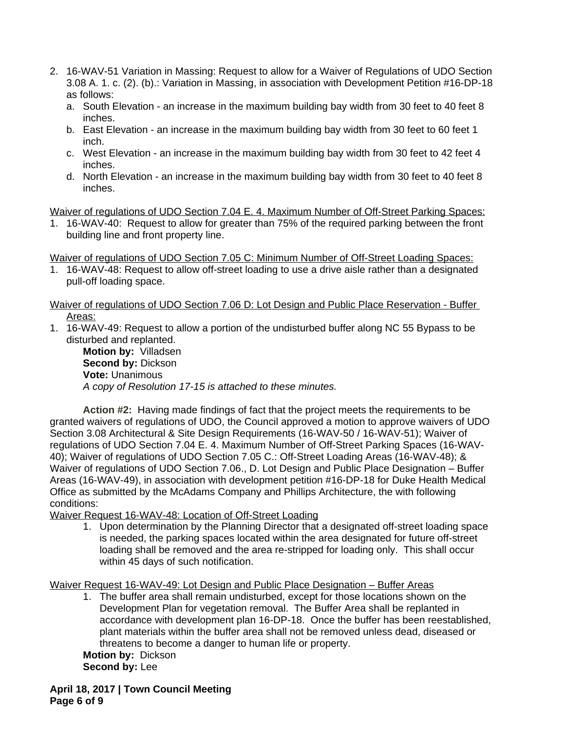- 2. 16-WAV-51 Variation in Massing: Request to allow for a Waiver of Regulations of UDO Section 3.08 A. 1. c. (2). (b).: Variation in Massing, in association with Development Petition #16-DP-18 as follows:
	- a. South Elevation an increase in the maximum building bay width from 30 feet to 40 feet 8 inches.
	- b. East Elevation an increase in the maximum building bay width from 30 feet to 60 feet 1 inch.
	- c. West Elevation an increase in the maximum building bay width from 30 feet to 42 feet 4 inches.
	- d. North Elevation an increase in the maximum building bay width from 30 feet to 40 feet 8 inches.

Waiver of regulations of UDO Section 7.04 E. 4. Maximum Number of Off-Street Parking Spaces:

1. 16-WAV-40: Request to allow for greater than 75% of the required parking between the front building line and front property line.

Waiver of regulations of UDO Section 7.05 C: Minimum Number of Off-Street Loading Spaces:

1. 16-WAV-48: Request to allow off-street loading to use a drive aisle rather than a designated pull-off loading space.

Waiver of regulations of UDO Section 7.06 D: Lot Design and Public Place Reservation - Buffer Areas:

1. 16-WAV-49: Request to allow a portion of the undisturbed buffer along NC 55 Bypass to be disturbed and replanted.

**Motion by:** Villadsen **Second by:** Dickson **Vote:** Unanimous *A copy of Resolution 17-15 is attached to these minutes.*

**Action #2:** Having made findings of fact that the project meets the requirements to be granted waivers of regulations of UDO, the Council approved a motion to approve waivers of UDO Section 3.08 Architectural & Site Design Requirements (16-WAV-50 / 16-WAV-51); Waiver of regulations of UDO Section 7.04 E. 4. Maximum Number of Off-Street Parking Spaces (16-WAV-40); Waiver of regulations of UDO Section 7.05 C.: Off-Street Loading Areas (16-WAV-48); & Waiver of regulations of UDO Section 7.06., D. Lot Design and Public Place Designation – Buffer Areas (16-WAV-49), in association with development petition #16-DP-18 for Duke Health Medical Office as submitted by the McAdams Company and Phillips Architecture, the with following conditions:

Waiver Request 16-WAV-48: Location of Off-Street Loading

1. Upon determination by the Planning Director that a designated off-street loading space is needed, the parking spaces located within the area designated for future off-street loading shall be removed and the area re-stripped for loading only. This shall occur within 45 days of such notification.

Waiver Request 16-WAV-49: Lot Design and Public Place Designation – Buffer Areas

1. The buffer area shall remain undisturbed, except for those locations shown on the Development Plan for vegetation removal. The Buffer Area shall be replanted in accordance with development plan 16-DP-18. Once the buffer has been reestablished, plant materials within the buffer area shall not be removed unless dead, diseased or threatens to become a danger to human life or property.

**Motion by:** Dickson **Second by:** Lee

**April 18, 2017 | Town Council Meeting Page 6 of 9**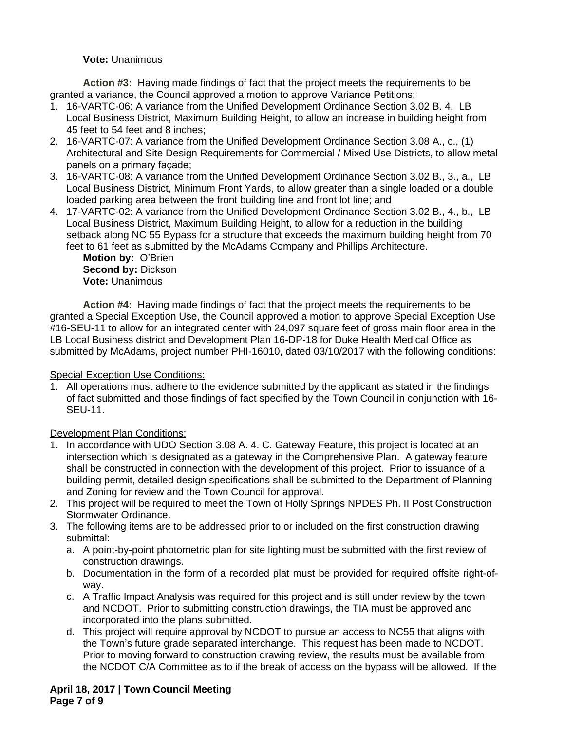### **Vote:** Unanimous

**Action #3:** Having made findings of fact that the project meets the requirements to be granted a variance, the Council approved a motion to approve Variance Petitions:

- 1. 16-VARTC-06: A variance from the Unified Development Ordinance Section 3.02 B. 4. LB Local Business District, Maximum Building Height, to allow an increase in building height from 45 feet to 54 feet and 8 inches;
- 2. 16-VARTC-07: A variance from the Unified Development Ordinance Section 3.08 A., c., (1) Architectural and Site Design Requirements for Commercial / Mixed Use Districts, to allow metal panels on a primary façade;
- 3. 16-VARTC-08: A variance from the Unified Development Ordinance Section 3.02 B., 3., a., LB Local Business District, Minimum Front Yards, to allow greater than a single loaded or a double loaded parking area between the front building line and front lot line; and
- 4. 17-VARTC-02: A variance from the Unified Development Ordinance Section 3.02 B., 4., b., LB Local Business District, Maximum Building Height, to allow for a reduction in the building setback along NC 55 Bypass for a structure that exceeds the maximum building height from 70 feet to 61 feet as submitted by the McAdams Company and Phillips Architecture.

**Motion by:** O'Brien **Second by:** Dickson **Vote:** Unanimous

**Action #4:** Having made findings of fact that the project meets the requirements to be granted a Special Exception Use, the Council approved a motion to approve Special Exception Use #16-SEU-11 to allow for an integrated center with 24,097 square feet of gross main floor area in the LB Local Business district and Development Plan 16-DP-18 for Duke Health Medical Office as submitted by McAdams, project number PHI-16010, dated 03/10/2017 with the following conditions:

### Special Exception Use Conditions:

1. All operations must adhere to the evidence submitted by the applicant as stated in the findings of fact submitted and those findings of fact specified by the Town Council in conjunction with 16- SEU-11.

# Development Plan Conditions:

- 1. In accordance with UDO Section 3.08 A. 4. C. Gateway Feature, this project is located at an intersection which is designated as a gateway in the Comprehensive Plan. A gateway feature shall be constructed in connection with the development of this project. Prior to issuance of a building permit, detailed design specifications shall be submitted to the Department of Planning and Zoning for review and the Town Council for approval.
- 2. This project will be required to meet the Town of Holly Springs NPDES Ph. II Post Construction Stormwater Ordinance.
- 3. The following items are to be addressed prior to or included on the first construction drawing submittal:
	- a. A point-by-point photometric plan for site lighting must be submitted with the first review of construction drawings.
	- b. Documentation in the form of a recorded plat must be provided for required offsite right-ofway.
	- c. A Traffic Impact Analysis was required for this project and is still under review by the town and NCDOT. Prior to submitting construction drawings, the TIA must be approved and incorporated into the plans submitted.
	- d. This project will require approval by NCDOT to pursue an access to NC55 that aligns with the Town's future grade separated interchange. This request has been made to NCDOT. Prior to moving forward to construction drawing review, the results must be available from the NCDOT C/A Committee as to if the break of access on the bypass will be allowed. If the

**April 18, 2017 | Town Council Meeting Page 7 of 9**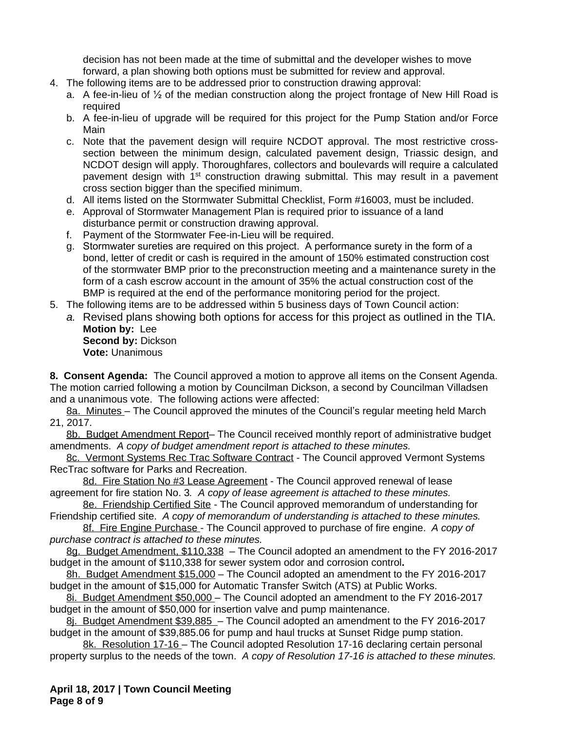decision has not been made at the time of submittal and the developer wishes to move forward, a plan showing both options must be submitted for review and approval.

- 4. The following items are to be addressed prior to construction drawing approval:
	- a. A fee-in-lieu of  $\frac{1}{2}$  of the median construction along the project frontage of New Hill Road is required
	- b. A fee-in-lieu of upgrade will be required for this project for the Pump Station and/or Force Main
	- c. Note that the pavement design will require NCDOT approval. The most restrictive crosssection between the minimum design, calculated pavement design, Triassic design, and NCDOT design will apply. Thoroughfares, collectors and boulevards will require a calculated pavement design with 1<sup>st</sup> construction drawing submittal. This may result in a pavement cross section bigger than the specified minimum.
	- d. All items listed on the Stormwater Submittal Checklist, Form #16003, must be included.
	- e. Approval of Stormwater Management Plan is required prior to issuance of a land disturbance permit or construction drawing approval.
	- f. Payment of the Stormwater Fee-in-Lieu will be required.
	- g. Stormwater sureties are required on this project. A performance surety in the form of a bond, letter of credit or cash is required in the amount of 150% estimated construction cost of the stormwater BMP prior to the preconstruction meeting and a maintenance surety in the form of a cash escrow account in the amount of 35% the actual construction cost of the BMP is required at the end of the performance monitoring period for the project.
- 5. The following items are to be addressed within 5 business days of Town Council action:
	- *a.* Revised plans showing both options for access for this project as outlined in the TIA. **Motion by:** Lee

**Second by:** Dickson **Vote:** Unanimous

**8. Consent Agenda:** The Council approved a motion to approve all items on the Consent Agenda. The motion carried following a motion by Councilman Dickson, a second by Councilman Villadsen and a unanimous vote. The following actions were affected:

8a. Minutes – The Council approved the minutes of the Council's regular meeting held March 21, 2017.

8b. Budget Amendment Report– The Council received monthly report of administrative budget amendments. *A copy of budget amendment report is attached to these minutes.*

8c. Vermont Systems Rec Trac Software Contract - The Council approved Vermont Systems RecTrac software for Parks and Recreation.

8d. Fire Station No #3 Lease Agreement - The Council approved renewal of lease agreement for fire station No. 3*. A copy of lease agreement is attached to these minutes.*

8e. Friendship Certified Site - The Council approved memorandum of understanding for Friendship certified site.*A copy of memorandum of understanding is attached to these minutes.*

8f. Fire Engine Purchase - The Council approved to purchase of fire engine. *A copy of purchase contract is attached to these minutes.*

8g. Budget Amendment, \$110,338 - The Council adopted an amendment to the FY 2016-2017 budget in the amount of \$110,338 for sewer system odor and corrosion control**.** 

8h. Budget Amendment \$15,000 – The Council adopted an amendment to the FY 2016-2017 budget in the amount of \$15,000 for Automatic Transfer Switch (ATS) at Public Works.

8i. Budget Amendment \$50,000 – The Council adopted an amendment to the FY 2016-2017 budget in the amount of \$50,000 for insertion valve and pump maintenance.

8j. Budget Amendment \$39,885 – The Council adopted an amendment to the FY 2016-2017 budget in the amount of \$39,885.06 for pump and haul trucks at Sunset Ridge pump station.

8k. Resolution 17-16 - The Council adopted Resolution 17-16 declaring certain personal property surplus to the needs of the town. *A copy of Resolution 17-16 is attached to these minutes.*